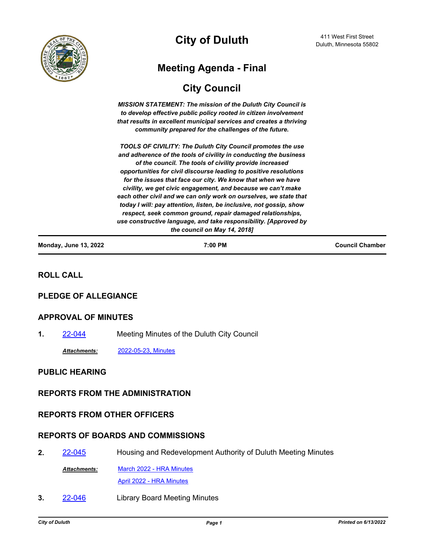

# **City of Duluth**

# **Meeting Agenda - Final**

# **City Council**

*MISSION STATEMENT: The mission of the Duluth City Council is to develop effective public policy rooted in citizen involvement that results in excellent municipal services and creates a thriving community prepared for the challenges of the future.*

*TOOLS OF CIVILITY: The Duluth City Council promotes the use and adherence of the tools of civility in conducting the business of the council. The tools of civility provide increased opportunities for civil discourse leading to positive resolutions for the issues that face our city. We know that when we have civility, we get civic engagement, and because we can't make*  each other civil and we can only work on ourselves, we state that *today I will: pay attention, listen, be inclusive, not gossip, show respect, seek common ground, repair damaged relationships, use constructive language, and take responsibility. [Approved by the council on May 14, 2018]*

| <b>Monday, June 13, 2022</b> | 7:00 PM | <b>Council Chamber</b> |
|------------------------------|---------|------------------------|
|                              |         |                        |

## **ROLL CALL**

## **PLEDGE OF ALLEGIANCE**

## **APPROVAL OF MINUTES**

**1.** [22-044](http://duluth-mn.legistar.com/gateway.aspx?m=l&id=/matter.aspx?key=8268) Meeting Minutes of the Duluth City Council

*Attachments:* [2022-05-23, Minutes](http://duluth-mn.legistar.com/gateway.aspx?M=F&ID=a2885b13-915b-4904-850a-ff8f919b06c7.pdf)

## **PUBLIC HEARING**

## **REPORTS FROM THE ADMINISTRATION**

## **REPORTS FROM OTHER OFFICERS**

## **REPORTS OF BOARDS AND COMMISSIONS**

2. [22-045](http://duluth-mn.legistar.com/gateway.aspx?m=l&id=/matter.aspx?key=8269) Housing and Redevelopment Authority of Duluth Meeting Minutes

[March 2022 - HRA Minutes](http://duluth-mn.legistar.com/gateway.aspx?M=F&ID=70bf5042-e845-453e-b3e6-225a5ab400b2.pdf) [April 2022 - HRA Minutes](http://duluth-mn.legistar.com/gateway.aspx?M=F&ID=06a4afd9-a5c1-4403-8b21-daddca9e0e3a.pdf) *Attachments:*

**3.** [22-046](http://duluth-mn.legistar.com/gateway.aspx?m=l&id=/matter.aspx?key=8270) Library Board Meeting Minutes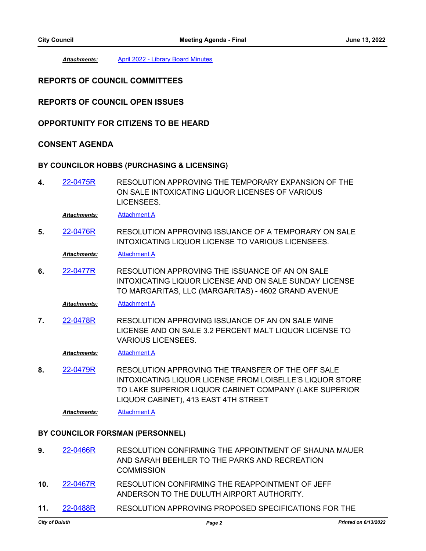*Attachments:* [April 2022 - Library Board Minutes](http://duluth-mn.legistar.com/gateway.aspx?M=F&ID=3d359edb-fe92-4f2f-bfea-4d28e1bd1416.pdf)

## **REPORTS OF COUNCIL COMMITTEES**

## **REPORTS OF COUNCIL OPEN ISSUES**

## **OPPORTUNITY FOR CITIZENS TO BE HEARD**

## **CONSENT AGENDA**

#### **BY COUNCILOR HOBBS (PURCHASING & LICENSING)**

RESOLUTION APPROVING THE TEMPORARY EXPANSION OF THE ON SALE INTOXICATING LIQUOR LICENSES OF VARIOUS LICENSEES. **4.** [22-0475R](http://duluth-mn.legistar.com/gateway.aspx?m=l&id=/matter.aspx?key=8261)

*Attachments:* [Attachment A](http://duluth-mn.legistar.com/gateway.aspx?M=F&ID=3cedc31d-ab9d-4b4a-b018-c8a2723f8da4.pdf)

RESOLUTION APPROVING ISSUANCE OF A TEMPORARY ON SALE INTOXICATING LIQUOR LICENSE TO VARIOUS LICENSEES. **5.** [22-0476R](http://duluth-mn.legistar.com/gateway.aspx?m=l&id=/matter.aspx?key=8262)

*Attachments:* [Attachment A](http://duluth-mn.legistar.com/gateway.aspx?M=F&ID=3140d193-4159-461e-9783-8198869a5bf4.pdf)

RESOLUTION APPROVING THE ISSUANCE OF AN ON SALE INTOXICATING LIQUOR LICENSE AND ON SALE SUNDAY LICENSE TO MARGARITAS, LLC (MARGARITAS) - 4602 GRAND AVENUE **6.** [22-0477R](http://duluth-mn.legistar.com/gateway.aspx?m=l&id=/matter.aspx?key=8263)

*Attachments:* [Attachment A](http://duluth-mn.legistar.com/gateway.aspx?M=F&ID=56d60157-f4fc-41c8-9416-3a98469f952b.pdf)

RESOLUTION APPROVING ISSUANCE OF AN ON SALE WINE LICENSE AND ON SALE 3.2 PERCENT MALT LIQUOR LICENSE TO VARIOUS LICENSEES. **7.** [22-0478R](http://duluth-mn.legistar.com/gateway.aspx?m=l&id=/matter.aspx?key=8264)

*Attachments:* [Attachment A](http://duluth-mn.legistar.com/gateway.aspx?M=F&ID=92e69f48-2fbe-4d79-a73b-8a2b5524ffaf.pdf)

RESOLUTION APPROVING THE TRANSFER OF THE OFF SALE INTOXICATING LIQUOR LICENSE FROM LOISELLE'S LIQUOR STORE TO LAKE SUPERIOR LIQUOR CABINET COMPANY (LAKE SUPERIOR LIQUOR CABINET), 413 EAST 4TH STREET **8.** [22-0479R](http://duluth-mn.legistar.com/gateway.aspx?m=l&id=/matter.aspx?key=8265)

*Attachments:* [Attachment A](http://duluth-mn.legistar.com/gateway.aspx?M=F&ID=8203c2bc-4a79-452f-80d1-586360eb01bc.pdf)

#### **BY COUNCILOR FORSMAN (PERSONNEL)**

- RESOLUTION CONFIRMING THE APPOINTMENT OF SHAUNA MAUER AND SARAH BEEHLER TO THE PARKS AND RECREATION **COMMISSION 9.** [22-0466R](http://duluth-mn.legistar.com/gateway.aspx?m=l&id=/matter.aspx?key=8242)
- RESOLUTION CONFIRMING THE REAPPOINTMENT OF JEFF ANDERSON TO THE DULUTH AIRPORT AUTHORITY. **10.** [22-0467R](http://duluth-mn.legistar.com/gateway.aspx?m=l&id=/matter.aspx?key=8243)
- **11.** [22-0488R](http://duluth-mn.legistar.com/gateway.aspx?m=l&id=/matter.aspx?key=8274) RESOLUTION APPROVING PROPOSED SPECIFICATIONS FOR THE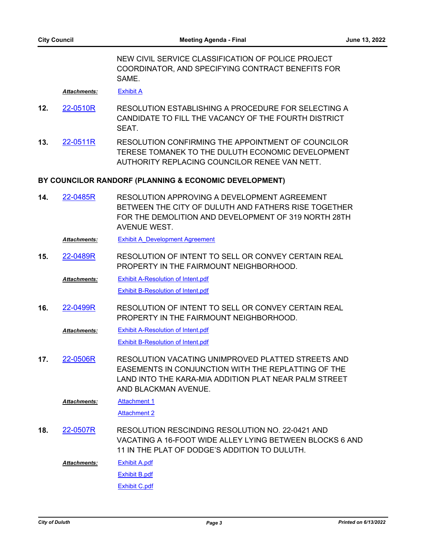NEW CIVIL SERVICE CLASSIFICATION OF POLICE PROJECT COORDINATOR, AND SPECIFYING CONTRACT BENEFITS FOR SAME.

*Attachments:* [Exhibit A](http://duluth-mn.legistar.com/gateway.aspx?M=F&ID=4ed9c4f3-234d-44e3-a3d2-185bba2e5e31.pdf)

- RESOLUTION ESTABLISHING A PROCEDURE FOR SELECTING A CANDIDATE TO FILL THE VACANCY OF THE FOURTH DISTRICT SEAT. **12.** [22-0510R](http://duluth-mn.legistar.com/gateway.aspx?m=l&id=/matter.aspx?key=8299)
- RESOLUTION CONFIRMING THE APPOINTMENT OF COUNCILOR TERESE TOMANEK TO THE DULUTH ECONOMIC DEVELOPMENT AUTHORITY REPLACING COUNCILOR RENEE VAN NETT. **13.** [22-0511R](http://duluth-mn.legistar.com/gateway.aspx?m=l&id=/matter.aspx?key=8300)

#### **BY COUNCILOR RANDORF (PLANNING & ECONOMIC DEVELOPMENT)**

RESOLUTION APPROVING A DEVELOPMENT AGREEMENT BETWEEN THE CITY OF DULUTH AND FATHERS RISE TOGETHER FOR THE DEMOLITION AND DEVELOPMENT OF 319 NORTH 28TH AVENUE WEST. **14.** [22-0485R](http://duluth-mn.legistar.com/gateway.aspx?m=l&id=/matter.aspx?key=8271)

*Attachments:* [Exhibit A\\_Development Agreement](http://duluth-mn.legistar.com/gateway.aspx?M=F&ID=25542bda-a4b0-49ae-8622-0b7cda739bbc.pdf)

RESOLUTION OF INTENT TO SELL OR CONVEY CERTAIN REAL PROPERTY IN THE FAIRMOUNT NEIGHBORHOOD. **15.** [22-0489R](http://duluth-mn.legistar.com/gateway.aspx?m=l&id=/matter.aspx?key=8275)

[Exhibit A-Resolution of Intent.pdf](http://duluth-mn.legistar.com/gateway.aspx?M=F&ID=032d90d4-ed87-4a39-aa93-d29c4219a289.pdf) [Exhibit B-Resolution of Intent.pdf](http://duluth-mn.legistar.com/gateway.aspx?M=F&ID=a3bc4035-6ac0-48a6-bf14-8b967d0b8be9.pdf) *Attachments:*

RESOLUTION OF INTENT TO SELL OR CONVEY CERTAIN REAL PROPERTY IN THE FAIRMOUNT NEIGHBORHOOD. **16.** [22-0499R](http://duluth-mn.legistar.com/gateway.aspx?m=l&id=/matter.aspx?key=8285)

[Exhibit A-Resolution of Intent.pdf](http://duluth-mn.legistar.com/gateway.aspx?M=F&ID=440d006d-cc57-4dc7-9244-d0b3c08441b9.pdf) [Exhibit B-Resolution of Intent.pdf](http://duluth-mn.legistar.com/gateway.aspx?M=F&ID=a42b6d6b-88b3-490e-8180-a2ae6ee9d841.pdf) *Attachments:*

RESOLUTION VACATING UNIMPROVED PLATTED STREETS AND EASEMENTS IN CONJUNCTION WITH THE REPLATTING OF THE LAND INTO THE KARA-MIA ADDITION PLAT NEAR PALM STREET AND BLACKMAN AVENUE. **17.** [22-0506R](http://duluth-mn.legistar.com/gateway.aspx?m=l&id=/matter.aspx?key=8292)

**[Attachment 1](http://duluth-mn.legistar.com/gateway.aspx?M=F&ID=cc6aa237-416c-4287-a31c-18c7741317aa.pdf)** *Attachments:*

[Attachment 2](http://duluth-mn.legistar.com/gateway.aspx?M=F&ID=2cb6fa0b-a70e-45db-8953-f5696c124859.pdf)

RESOLUTION RESCINDING RESOLUTION NO. 22-0421 AND VACATING A 16-FOOT WIDE ALLEY LYING BETWEEN BLOCKS 6 AND 11 IN THE PLAT OF DODGE'S ADDITION TO DULUTH. **18.** [22-0507R](http://duluth-mn.legistar.com/gateway.aspx?m=l&id=/matter.aspx?key=8293)

[Exhibit A.pdf](http://duluth-mn.legistar.com/gateway.aspx?M=F&ID=9e987698-b2a4-4a62-bcc7-d36caa3f1109.pdf) [Exhibit B.pdf](http://duluth-mn.legistar.com/gateway.aspx?M=F&ID=db322773-ed49-4cc9-9a26-730498a8f50c.pdf) *Attachments:*

[Exhibit C.pdf](http://duluth-mn.legistar.com/gateway.aspx?M=F&ID=4de0c307-5633-4e82-bc8d-cd2e08472063.pdf)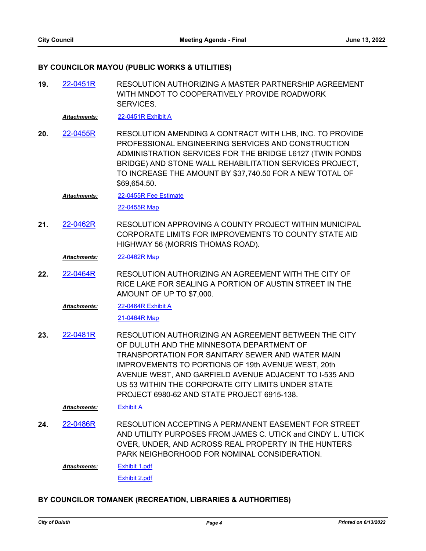## **BY COUNCILOR MAYOU (PUBLIC WORKS & UTILITIES)**

RESOLUTION AUTHORIZING A MASTER PARTNERSHIP AGREEMENT WITH MNDOT TO COOPERATIVELY PROVIDE ROADWORK SERVICES. **19.** [22-0451R](http://duluth-mn.legistar.com/gateway.aspx?m=l&id=/matter.aspx?key=8221)

*Attachments:* [22-0451R Exhibit A](http://duluth-mn.legistar.com/gateway.aspx?M=F&ID=e367804c-d23b-41b4-a7fe-51715c2bdd52.pdf)

RESOLUTION AMENDING A CONTRACT WITH LHB, INC. TO PROVIDE PROFESSIONAL ENGINEERING SERVICES AND CONSTRUCTION ADMINISTRATION SERVICES FOR THE BRIDGE L6127 (TWIN PONDS BRIDGE) AND STONE WALL REHABILITATION SERVICES PROJECT, TO INCREASE THE AMOUNT BY \$37,740.50 FOR A NEW TOTAL OF \$69,654.50. **20.** [22-0455R](http://duluth-mn.legistar.com/gateway.aspx?m=l&id=/matter.aspx?key=8231)

[22-0455R Fee Estimate](http://duluth-mn.legistar.com/gateway.aspx?M=F&ID=70a7cfd1-180e-4a1f-999f-e2712fad8580.pdf) *Attachments:*

[22-0455R Map](http://duluth-mn.legistar.com/gateway.aspx?M=F&ID=397f9520-dd8f-4393-9d4e-7d0f0421cc2b.pdf)

RESOLUTION APPROVING A COUNTY PROJECT WITHIN MUNICIPAL CORPORATE LIMITS FOR IMPROVEMENTS TO COUNTY STATE AID HIGHWAY 56 (MORRIS THOMAS ROAD). **21.** [22-0462R](http://duluth-mn.legistar.com/gateway.aspx?m=l&id=/matter.aspx?key=8238)

*Attachments:* [22-0462R Map](http://duluth-mn.legistar.com/gateway.aspx?M=F&ID=1e4d01e2-67b3-40d1-bf6a-32b88e457cfb.pdf)

RESOLUTION AUTHORIZING AN AGREEMENT WITH THE CITY OF RICE LAKE FOR SEALING A PORTION OF AUSTIN STREET IN THE AMOUNT OF UP TO \$7,000. **22.** [22-0464R](http://duluth-mn.legistar.com/gateway.aspx?m=l&id=/matter.aspx?key=8240)

[22-0464R Exhibit A](http://duluth-mn.legistar.com/gateway.aspx?M=F&ID=29bcc92f-6c44-47f1-9219-14396ce29cc7.pdf) *Attachments:*

[21-0464R Map](http://duluth-mn.legistar.com/gateway.aspx?M=F&ID=13ea3b07-dff4-4d68-ad3f-1ac256323206.pdf)

RESOLUTION AUTHORIZING AN AGREEMENT BETWEEN THE CITY OF DULUTH AND THE MINNESOTA DEPARTMENT OF TRANSPORTATION FOR SANITARY SEWER AND WATER MAIN IMPROVEMENTS TO PORTIONS OF 19th AVENUE WEST, 20th AVENUE WEST, AND GARFIELD AVENUE ADJACENT TO I-535 AND US 53 WITHIN THE CORPORATE CITY LIMITS UNDER STATE PROJECT 6980-62 AND STATE PROJECT 6915-138. **23.** [22-0481R](http://duluth-mn.legistar.com/gateway.aspx?m=l&id=/matter.aspx?key=8267)

*Attachments:* [Exhibit A](http://duluth-mn.legistar.com/gateway.aspx?M=F&ID=22aa0ed8-3716-4a09-9228-d30b75eb826f.pdf)

RESOLUTION ACCEPTING A PERMANENT EASEMENT FOR STREET AND UTILITY PURPOSES FROM JAMES C. UTICK and CINDY L. UTICK OVER, UNDER, AND ACROSS REAL PROPERTY IN THE HUNTERS PARK NEIGHBORHOOD FOR NOMINAL CONSIDERATION. **24.** [22-0486R](http://duluth-mn.legistar.com/gateway.aspx?m=l&id=/matter.aspx?key=8272)

*Attachments:*

[Exhibit 1.pdf](http://duluth-mn.legistar.com/gateway.aspx?M=F&ID=b786bfc0-c68f-4a17-b76e-a3efc0efb11b.pdf) [Exhibit 2.pdf](http://duluth-mn.legistar.com/gateway.aspx?M=F&ID=be781f38-0666-426d-b71e-a50bda8a966c.pdf)

## **BY COUNCILOR TOMANEK (RECREATION, LIBRARIES & AUTHORITIES)**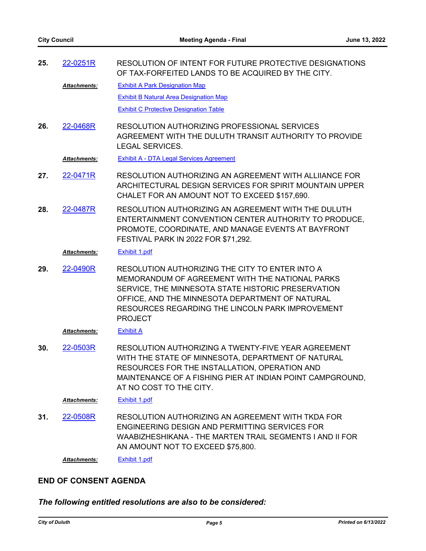| 25. | 22-0251R            | RESOLUTION OF INTENT FOR FUTURE PROTECTIVE DESIGNATIONS<br>OF TAX-FORFEITED LANDS TO BE ACQUIRED BY THE CITY.                                                                                                                                      |
|-----|---------------------|----------------------------------------------------------------------------------------------------------------------------------------------------------------------------------------------------------------------------------------------------|
|     | Attachments:        | <b>Exhibit A Park Designation Map</b>                                                                                                                                                                                                              |
|     |                     | <b>Exhibit B Natural Area Designation Map</b>                                                                                                                                                                                                      |
|     |                     | <b>Exhibit C Protective Designation Table</b>                                                                                                                                                                                                      |
| 26. | 22-0468R            | RESOLUTION AUTHORIZING PROFESSIONAL SERVICES<br>AGREEMENT WITH THE DULUTH TRANSIT AUTHORITY TO PROVIDE<br><b>LEGAL SERVICES.</b>                                                                                                                   |
|     | Attachments:        | <b>Exhibit A - DTA Legal Services Agreement</b>                                                                                                                                                                                                    |
| 27. | 22-0471R            | RESOLUTION AUTHORIZING AN AGREEMENT WITH ALLIIANCE FOR<br>ARCHITECTURAL DESIGN SERVICES FOR SPIRIT MOUNTAIN UPPER<br>CHALET FOR AN AMOUNT NOT TO EXCEED \$157,690.                                                                                 |
| 28. | 22-0487R            | RESOLUTION AUTHORIZING AN AGREEMENT WITH THE DULUTH<br>ENTERTAINMENT CONVENTION CENTER AUTHORITY TO PRODUCE.<br>PROMOTE, COORDINATE, AND MANAGE EVENTS AT BAYFRONT<br>FESTIVAL PARK IN 2022 FOR \$71,292.                                          |
|     | <b>Attachments:</b> | <b>Exhibit 1.pdf</b>                                                                                                                                                                                                                               |
| 29. | 22-0490R            | RESOLUTION AUTHORIZING THE CITY TO ENTER INTO A                                                                                                                                                                                                    |
|     |                     | MEMORANDUM OF AGREEMENT WITH THE NATIONAL PARKS<br>SERVICE, THE MINNESOTA STATE HISTORIC PRESERVATION<br>OFFICE, AND THE MINNESOTA DEPARTMENT OF NATURAL<br>RESOURCES REGARDING THE LINCOLN PARK IMPROVEMENT<br><b>PROJECT</b>                     |
|     | <b>Attachments:</b> | <b>Exhibit A</b>                                                                                                                                                                                                                                   |
| 30. | 22-0503R            | RESOLUTION AUTHORIZING A TWENTY-FIVE YEAR AGREEMENT<br>WITH THE STATE OF MINNESOTA, DEPARTMENT OF NATURAL<br>RESOURCES FOR THE INSTALLATION, OPERATION AND<br>MAINTENANCE OF A FISHING PIER AT INDIAN POINT CAMPGROUND,<br>AT NO COST TO THE CITY. |
|     | Attachments:        | <b>Exhibit 1.pdf</b>                                                                                                                                                                                                                               |
| 31. | 22-0508R            | RESOLUTION AUTHORIZING AN AGREEMENT WITH TKDA FOR<br>ENGINEERING DESIGN AND PERMITTING SERVICES FOR<br>WAABIZHESHIKANA - THE MARTEN TRAIL SEGMENTS I AND II FOR<br>AN AMOUNT NOT TO EXCEED \$75,800.                                               |

## **END OF CONSENT AGENDA**

*The following entitled resolutions are also to be considered:*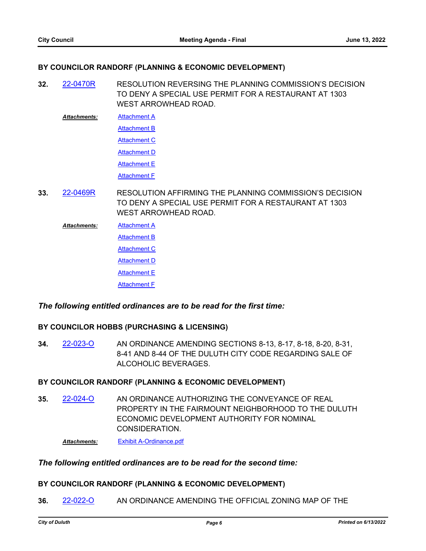## **BY COUNCILOR RANDORF (PLANNING & ECONOMIC DEVELOPMENT)**

RESOLUTION REVERSING THE PLANNING COMMISSION'S DECISION TO DENY A SPECIAL USE PERMIT FOR A RESTAURANT AT 1303 WEST ARROWHEAD ROAD. **32.** [22-0470R](http://duluth-mn.legistar.com/gateway.aspx?m=l&id=/matter.aspx?key=8249)

**[Attachment A](http://duluth-mn.legistar.com/gateway.aspx?M=F&ID=307cb5ac-e016-4230-98b9-7d4feed53d12.pdf)** *Attachments:*

[Attachment B](http://duluth-mn.legistar.com/gateway.aspx?M=F&ID=677a0861-7a65-4ea0-b3eb-c26d4d2de665.pdf)

**[Attachment C](http://duluth-mn.legistar.com/gateway.aspx?M=F&ID=52019417-0284-46ed-aa31-a5eb52edd5b2.pdf)** 

[Attachment D](http://duluth-mn.legistar.com/gateway.aspx?M=F&ID=0cf5ed12-d10f-4d0c-9d50-1defdc243caa.pdf)

**[Attachment E](http://duluth-mn.legistar.com/gateway.aspx?M=F&ID=1e1597be-3f04-49f4-be57-b4b151eeef25.pdf)** 

[Attachment F](http://duluth-mn.legistar.com/gateway.aspx?M=F&ID=a9d39c9e-03c2-4264-b98f-43d202214b16.pdf)

RESOLUTION AFFIRMING THE PLANNING COMMISSION'S DECISION TO DENY A SPECIAL USE PERMIT FOR A RESTAURANT AT 1303 WEST ARROWHEAD ROAD. **33.** [22-0469R](http://duluth-mn.legistar.com/gateway.aspx?m=l&id=/matter.aspx?key=8245)

**[Attachment A](http://duluth-mn.legistar.com/gateway.aspx?M=F&ID=eb0aa178-f128-4694-a84d-fd3553aa7a6c.pdf) [Attachment B](http://duluth-mn.legistar.com/gateway.aspx?M=F&ID=e87118b3-c0ec-46c2-b46a-1fd30490e21a.pdf) [Attachment C](http://duluth-mn.legistar.com/gateway.aspx?M=F&ID=7549b856-d030-4dc3-9411-c6d4bcf3b24d.pdf) [Attachment D](http://duluth-mn.legistar.com/gateway.aspx?M=F&ID=b34ba378-dc3a-4212-a9cd-f1fe9c3451ac.pdf)** [Attachment E](http://duluth-mn.legistar.com/gateway.aspx?M=F&ID=9a0fe93d-fe99-4574-832b-2fb7fe902077.pdf) [Attachment F](http://duluth-mn.legistar.com/gateway.aspx?M=F&ID=c56191c6-1d85-4447-a026-a67d35bec187.pdf) *Attachments:*

## *The following entitled ordinances are to be read for the first time:*

## **BY COUNCILOR HOBBS (PURCHASING & LICENSING)**

AN ORDINANCE AMENDING SECTIONS 8-13, 8-17, 8-18, 8-20, 8-31, 8-41 AND 8-44 OF THE DULUTH CITY CODE REGARDING SALE OF ALCOHOLIC BEVERAGES. **34.** [22-023-O](http://duluth-mn.legistar.com/gateway.aspx?m=l&id=/matter.aspx?key=8239)

## **BY COUNCILOR RANDORF (PLANNING & ECONOMIC DEVELOPMENT)**

AN ORDINANCE AUTHORIZING THE CONVEYANCE OF REAL PROPERTY IN THE FAIRMOUNT NEIGHBORHOOD TO THE DULUTH ECONOMIC DEVELOPMENT AUTHORITY FOR NOMINAL CONSIDERATION. **35.** [22-024-O](http://duluth-mn.legistar.com/gateway.aspx?m=l&id=/matter.aspx?key=8277)

*Attachments:* [Exhibit A-Ordinance.pdf](http://duluth-mn.legistar.com/gateway.aspx?M=F&ID=b293c181-1f22-48f3-8929-e4cd9ac9c728.pdf)

## *The following entitled ordinances are to be read for the second time:*

## **BY COUNCILOR RANDORF (PLANNING & ECONOMIC DEVELOPMENT)**

**36.** [22-022-O](http://duluth-mn.legistar.com/gateway.aspx?m=l&id=/matter.aspx?key=8208) AN ORDINANCE AMENDING THE OFFICIAL ZONING MAP OF THE